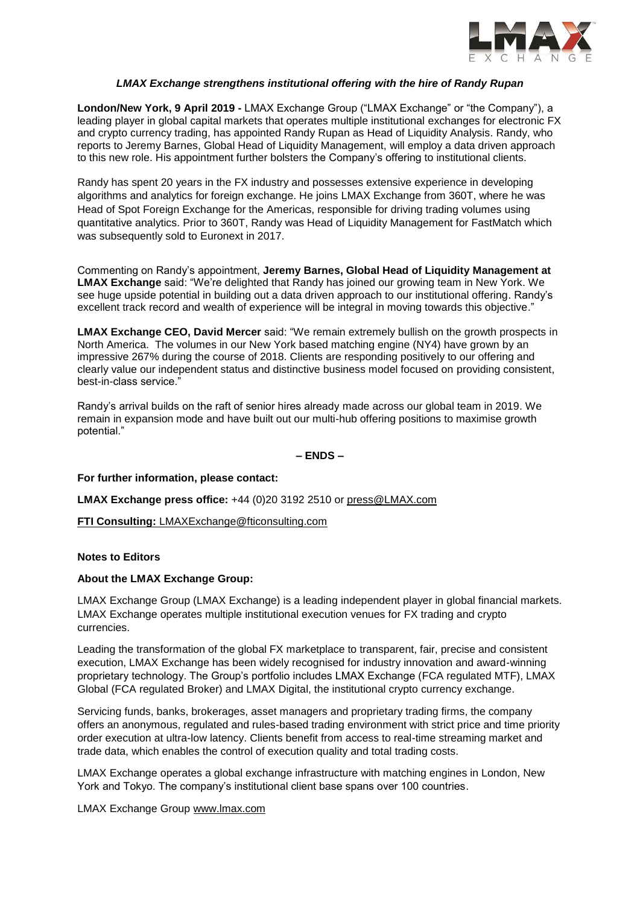

## *LMAX Exchange strengthens institutional offering with the hire of Randy Rupan*

**London/New York, 9 April 2019 -** LMAX Exchange Group ("LMAX Exchange" or "the Company"), a leading player in global capital markets that operates multiple institutional exchanges for electronic FX and crypto currency trading, has appointed Randy Rupan as Head of Liquidity Analysis. Randy, who reports to Jeremy Barnes, Global Head of Liquidity Management, will employ a data driven approach to this new role. His appointment further bolsters the Company's offering to institutional clients.

Randy has spent 20 years in the FX industry and possesses extensive experience in developing algorithms and analytics for foreign exchange. He joins LMAX Exchange from 360T, where he was Head of Spot Foreign Exchange for the Americas, responsible for driving trading volumes using quantitative analytics. Prior to 360T, Randy was Head of Liquidity Management for FastMatch which was subsequently sold to Euronext in 2017.

Commenting on Randy's appointment, **Jeremy Barnes, Global Head of Liquidity Management at LMAX Exchange** said: "We're delighted that Randy has joined our growing team in New York. We see huge upside potential in building out a data driven approach to our institutional offering. Randy's excellent track record and wealth of experience will be integral in moving towards this objective."

**LMAX Exchange CEO, David Mercer** said: "We remain extremely bullish on the growth prospects in North America. The volumes in our New York based matching engine (NY4) have grown by an impressive 267% during the course of 2018. Clients are responding positively to our offering and clearly value our independent status and distinctive business model focused on providing consistent, best-in-class service."

Randy's arrival builds on the raft of senior hires already made across our global team in 2019. We remain in expansion mode and have built out our multi-hub offering positions to maximise growth potential."

**– ENDS –**

**For further information, please contact:** 

**LMAX Exchange press office:** +44 (0)20 3192 2510 or [press@LMAX.com](mailto:press@LMAX.com)

**FTI Consulting:** [LMAXExchange@fticonsulting.com](mailto:LMAXExchange@fticonsulting.com)

### **Notes to Editors**

### **About the LMAX Exchange Group:**

LMAX Exchange Group (LMAX Exchange) is a leading independent player in global financial markets. LMAX Exchange operates multiple institutional execution venues for FX trading and crypto currencies.

Leading the transformation of the global FX marketplace to transparent, fair, precise and consistent execution, LMAX Exchange has been widely recognised for industry innovation and award-winning proprietary technology. The Group's portfolio includes LMAX Exchange (FCA regulated MTF), LMAX Global (FCA regulated Broker) and LMAX Digital, the institutional crypto currency exchange.

Servicing funds, banks, brokerages, asset managers and proprietary trading firms, the company offers an anonymous, regulated and rules-based trading environment with strict price and time priority order execution at ultra-low latency. Clients benefit from access to real-time streaming market and trade data, which enables the control of execution quality and total trading costs.

LMAX Exchange operates a global exchange infrastructure with matching engines in London, New York and Tokyo. The company's institutional client base spans over 100 countries.

LMAX Exchange Group [www.lmax.com](http://www.lmax.com/)